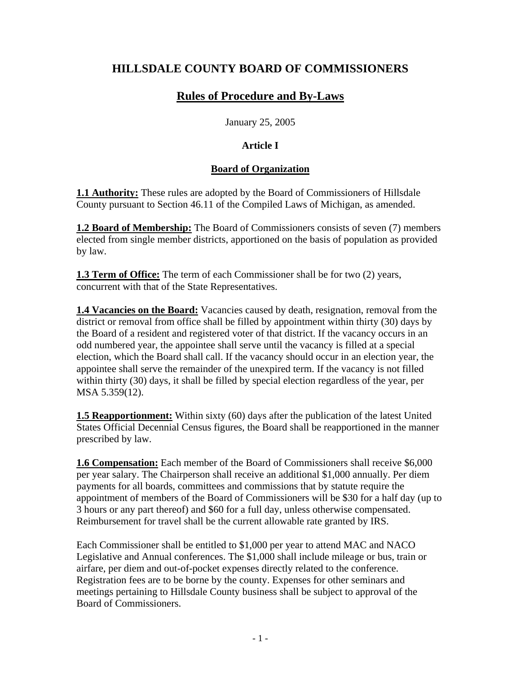# **HILLSDALE COUNTY BOARD OF COMMISSIONERS**

# **Rules of Procedure and By-Laws**

January 25, 2005

# **Article I**

# **Board of Organization**

**1.1 Authority:** These rules are adopted by the Board of Commissioners of Hillsdale County pursuant to Section 46.11 of the Compiled Laws of Michigan, as amended.

**1.2 Board of Membership:** The Board of Commissioners consists of seven (7) members elected from single member districts, apportioned on the basis of population as provided by law.

**1.3 Term of Office:** The term of each Commissioner shall be for two (2) years, concurrent with that of the State Representatives.

**1.4 Vacancies on the Board:** Vacancies caused by death, resignation, removal from the district or removal from office shall be filled by appointment within thirty (30) days by the Board of a resident and registered voter of that district. If the vacancy occurs in an odd numbered year, the appointee shall serve until the vacancy is filled at a special election, which the Board shall call. If the vacancy should occur in an election year, the appointee shall serve the remainder of the unexpired term. If the vacancy is not filled within thirty (30) days, it shall be filled by special election regardless of the year, per MSA 5.359(12).

**1.5 Reapportionment:** Within sixty (60) days after the publication of the latest United States Official Decennial Census figures, the Board shall be reapportioned in the manner prescribed by law.

**1.6 Compensation:** Each member of the Board of Commissioners shall receive \$6,000 per year salary. The Chairperson shall receive an additional \$1,000 annually. Per diem payments for all boards, committees and commissions that by statute require the appointment of members of the Board of Commissioners will be \$30 for a half day (up to 3 hours or any part thereof) and \$60 for a full day, unless otherwise compensated. Reimbursement for travel shall be the current allowable rate granted by IRS.

Each Commissioner shall be entitled to \$1,000 per year to attend MAC and NACO Legislative and Annual conferences. The \$1,000 shall include mileage or bus, train or airfare, per diem and out-of-pocket expenses directly related to the conference. Registration fees are to be borne by the county. Expenses for other seminars and meetings pertaining to Hillsdale County business shall be subject to approval of the Board of Commissioners.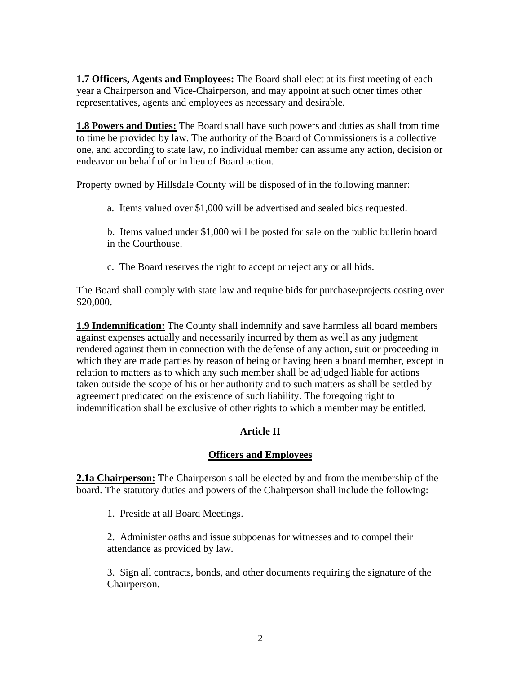**1.7 Officers, Agents and Employees:** The Board shall elect at its first meeting of each year a Chairperson and Vice-Chairperson, and may appoint at such other times other representatives, agents and employees as necessary and desirable.

**1.8 Powers and Duties:** The Board shall have such powers and duties as shall from time to time be provided by law. The authority of the Board of Commissioners is a collective one, and according to state law, no individual member can assume any action, decision or endeavor on behalf of or in lieu of Board action.

Property owned by Hillsdale County will be disposed of in the following manner:

a. Items valued over \$1,000 will be advertised and sealed bids requested.

b. Items valued under \$1,000 will be posted for sale on the public bulletin board in the Courthouse.

c. The Board reserves the right to accept or reject any or all bids.

The Board shall comply with state law and require bids for purchase/projects costing over \$20,000.

**1.9 Indemnification:** The County shall indemnify and save harmless all board members against expenses actually and necessarily incurred by them as well as any judgment rendered against them in connection with the defense of any action, suit or proceeding in which they are made parties by reason of being or having been a board member, except in relation to matters as to which any such member shall be adjudged liable for actions taken outside the scope of his or her authority and to such matters as shall be settled by agreement predicated on the existence of such liability. The foregoing right to indemnification shall be exclusive of other rights to which a member may be entitled.

# **Article II**

### **Officers and Employees**

**2.1a Chairperson:** The Chairperson shall be elected by and from the membership of the board. The statutory duties and powers of the Chairperson shall include the following:

1. Preside at all Board Meetings.

2. Administer oaths and issue subpoenas for witnesses and to compel their attendance as provided by law.

3. Sign all contracts, bonds, and other documents requiring the signature of the Chairperson.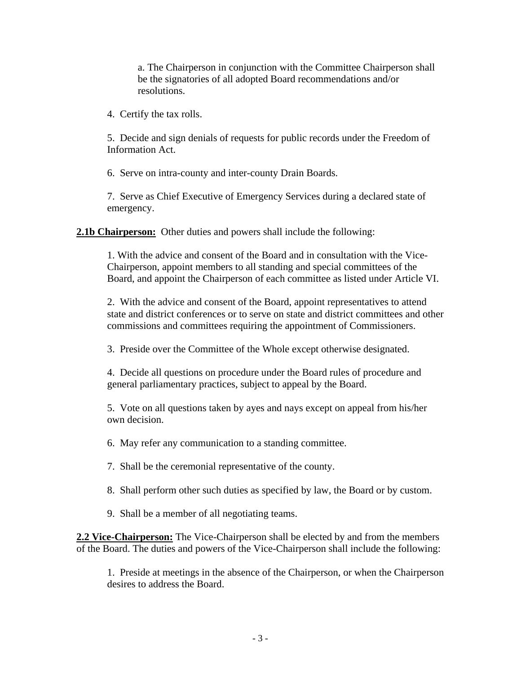a. The Chairperson in conjunction with the Committee Chairperson shall be the signatories of all adopted Board recommendations and/or resolutions.

4. Certify the tax rolls.

5. Decide and sign denials of requests for public records under the Freedom of Information Act.

6. Serve on intra-county and inter-county Drain Boards.

7. Serve as Chief Executive of Emergency Services during a declared state of emergency.

**2.1b Chairperson:** Other duties and powers shall include the following:

1. With the advice and consent of the Board and in consultation with the Vice-Chairperson, appoint members to all standing and special committees of the Board, and appoint the Chairperson of each committee as listed under Article VI.

2. With the advice and consent of the Board, appoint representatives to attend state and district conferences or to serve on state and district committees and other commissions and committees requiring the appointment of Commissioners.

3. Preside over the Committee of the Whole except otherwise designated.

4. Decide all questions on procedure under the Board rules of procedure and general parliamentary practices, subject to appeal by the Board.

5. Vote on all questions taken by ayes and nays except on appeal from his/her own decision.

6. May refer any communication to a standing committee.

7. Shall be the ceremonial representative of the county.

- 8. Shall perform other such duties as specified by law, the Board or by custom.
- 9. Shall be a member of all negotiating teams.

**2.2 Vice-Chairperson:** The Vice-Chairperson shall be elected by and from the members of the Board. The duties and powers of the Vice-Chairperson shall include the following:

1. Preside at meetings in the absence of the Chairperson, or when the Chairperson desires to address the Board.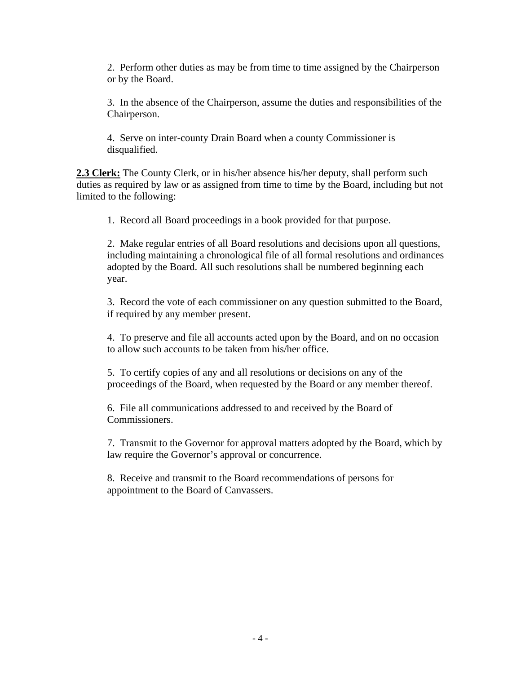2. Perform other duties as may be from time to time assigned by the Chairperson or by the Board.

3. In the absence of the Chairperson, assume the duties and responsibilities of the Chairperson.

4. Serve on inter-county Drain Board when a county Commissioner is disqualified.

**2.3 Clerk:** The County Clerk, or in his/her absence his/her deputy, shall perform such duties as required by law or as assigned from time to time by the Board, including but not limited to the following:

1. Record all Board proceedings in a book provided for that purpose.

2. Make regular entries of all Board resolutions and decisions upon all questions, including maintaining a chronological file of all formal resolutions and ordinances adopted by the Board. All such resolutions shall be numbered beginning each year.

3. Record the vote of each commissioner on any question submitted to the Board, if required by any member present.

4. To preserve and file all accounts acted upon by the Board, and on no occasion to allow such accounts to be taken from his/her office.

5. To certify copies of any and all resolutions or decisions on any of the proceedings of the Board, when requested by the Board or any member thereof.

6. File all communications addressed to and received by the Board of Commissioners.

7. Transmit to the Governor for approval matters adopted by the Board, which by law require the Governor's approval or concurrence.

8. Receive and transmit to the Board recommendations of persons for appointment to the Board of Canvassers.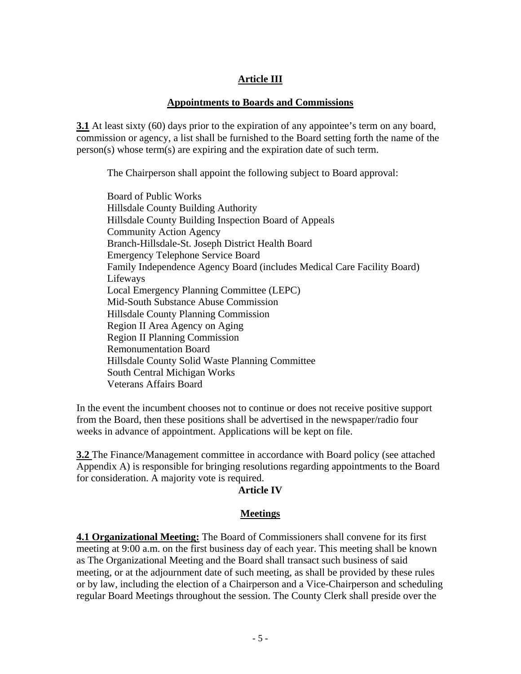## **Article III**

#### **Appointments to Boards and Commissions**

**3.1** At least sixty (60) days prior to the expiration of any appointee's term on any board, commission or agency, a list shall be furnished to the Board setting forth the name of the person(s) whose term(s) are expiring and the expiration date of such term.

The Chairperson shall appoint the following subject to Board approval:

Board of Public Works Hillsdale County Building Authority Hillsdale County Building Inspection Board of Appeals Community Action Agency Branch-Hillsdale-St. Joseph District Health Board Emergency Telephone Service Board Family Independence Agency Board (includes Medical Care Facility Board) Lifeways Local Emergency Planning Committee (LEPC) Mid-South Substance Abuse Commission Hillsdale County Planning Commission Region II Area Agency on Aging Region II Planning Commission Remonumentation Board Hillsdale County Solid Waste Planning Committee South Central Michigan Works Veterans Affairs Board

In the event the incumbent chooses not to continue or does not receive positive support from the Board, then these positions shall be advertised in the newspaper/radio four weeks in advance of appointment. Applications will be kept on file.

**3.2** The Finance/Management committee in accordance with Board policy (see attached Appendix A) is responsible for bringing resolutions regarding appointments to the Board for consideration. A majority vote is required.

#### **Article IV**

#### **Meetings**

**4.1 Organizational Meeting:** The Board of Commissioners shall convene for its first meeting at 9:00 a.m. on the first business day of each year. This meeting shall be known as The Organizational Meeting and the Board shall transact such business of said meeting, or at the adjournment date of such meeting, as shall be provided by these rules or by law, including the election of a Chairperson and a Vice-Chairperson and scheduling regular Board Meetings throughout the session. The County Clerk shall preside over the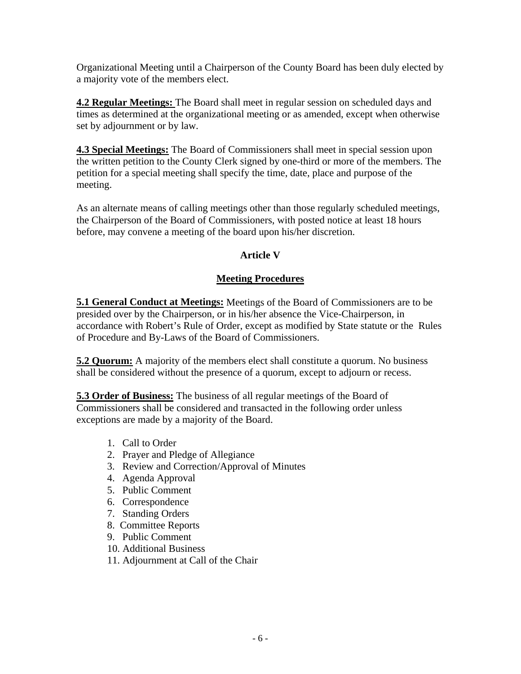Organizational Meeting until a Chairperson of the County Board has been duly elected by a majority vote of the members elect.

**4.2 Regular Meetings:** The Board shall meet in regular session on scheduled days and times as determined at the organizational meeting or as amended, except when otherwise set by adjournment or by law.

**4.3 Special Meetings:** The Board of Commissioners shall meet in special session upon the written petition to the County Clerk signed by one-third or more of the members. The petition for a special meeting shall specify the time, date, place and purpose of the meeting.

As an alternate means of calling meetings other than those regularly scheduled meetings, the Chairperson of the Board of Commissioners, with posted notice at least 18 hours before, may convene a meeting of the board upon his/her discretion.

# **Article V**

### **Meeting Procedures**

**5.1 General Conduct at Meetings:** Meetings of the Board of Commissioners are to be presided over by the Chairperson, or in his/her absence the Vice-Chairperson, in accordance with Robert's Rule of Order, except as modified by State statute or the Rules of Procedure and By-Laws of the Board of Commissioners.

**5.2 Quorum:** A majority of the members elect shall constitute a quorum. No business shall be considered without the presence of a quorum, except to adjourn or recess.

**5.3 Order of Business:** The business of all regular meetings of the Board of Commissioners shall be considered and transacted in the following order unless exceptions are made by a majority of the Board.

- 1. Call to Order
- 2. Prayer and Pledge of Allegiance
- 3. Review and Correction/Approval of Minutes
- 4. Agenda Approval
- 5. Public Comment
- 6. Correspondence
- 7. Standing Orders
- 8. Committee Reports
- 9. Public Comment
- 10. Additional Business
- 11. Adjournment at Call of the Chair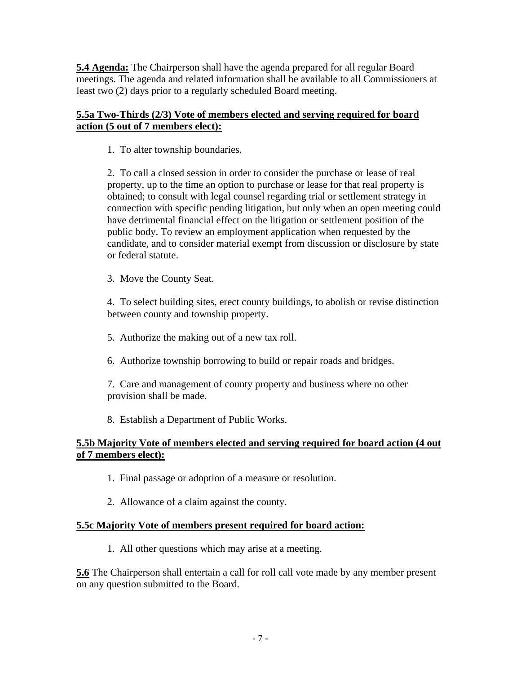**5.4 Agenda:** The Chairperson shall have the agenda prepared for all regular Board meetings. The agenda and related information shall be available to all Commissioners at least two (2) days prior to a regularly scheduled Board meeting.

### **5.5a Two-Thirds (2/3) Vote of members elected and serving required for board action (5 out of 7 members elect):**

1. To alter township boundaries.

2. To call a closed session in order to consider the purchase or lease of real property, up to the time an option to purchase or lease for that real property is obtained; to consult with legal counsel regarding trial or settlement strategy in connection with specific pending litigation, but only when an open meeting could have detrimental financial effect on the litigation or settlement position of the public body. To review an employment application when requested by the candidate, and to consider material exempt from discussion or disclosure by state or federal statute.

3. Move the County Seat.

4. To select building sites, erect county buildings, to abolish or revise distinction between county and township property.

- 5. Authorize the making out of a new tax roll.
- 6. Authorize township borrowing to build or repair roads and bridges.

7. Care and management of county property and business where no other provision shall be made.

8. Establish a Department of Public Works.

### **5.5b Majority Vote of members elected and serving required for board action (4 out of 7 members elect):**

- 1. Final passage or adoption of a measure or resolution.
- 2. Allowance of a claim against the county.

# **5.5c Majority Vote of members present required for board action:**

1. All other questions which may arise at a meeting.

**5.6** The Chairperson shall entertain a call for roll call vote made by any member present on any question submitted to the Board.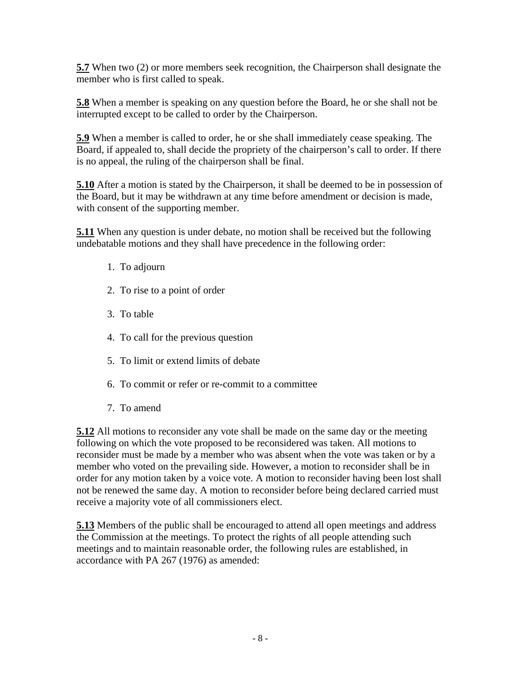**5.7** When two (2) or more members seek recognition, the Chairperson shall designate the member who is first called to speak.

**5.8** When a member is speaking on any question before the Board, he or she shall not be interrupted except to be called to order by the Chairperson.

**5.9** When a member is called to order, he or she shall immediately cease speaking. The Board, if appealed to, shall decide the propriety of the chairperson's call to order. If there is no appeal, the ruling of the chairperson shall be final.

**5.10** After a motion is stated by the Chairperson, it shall be deemed to be in possession of the Board, but it may be withdrawn at any time before amendment or decision is made, with consent of the supporting member.

**5.11** When any question is under debate, no motion shall be received but the following undebatable motions and they shall have precedence in the following order:

- 1. To adjourn
- 2. To rise to a point of order
- 3. To table
- 4. To call for the previous question
- 5. To limit or extend limits of debate
- 6. To commit or refer or re-commit to a committee
- 7. To amend

**5.12** All motions to reconsider any vote shall be made on the same day or the meeting following on which the vote proposed to be reconsidered was taken. All motions to reconsider must be made by a member who was absent when the vote was taken or by a member who voted on the prevailing side. However, a motion to reconsider shall be in order for any motion taken by a voice vote. A motion to reconsider having been lost shall not be renewed the same day. A motion to reconsider before being declared carried must receive a majority vote of all commissioners elect.

**5.13** Members of the public shall be encouraged to attend all open meetings and address the Commission at the meetings. To protect the rights of all people attending such meetings and to maintain reasonable order, the following rules are established, in accordance with PA 267 (1976) as amended: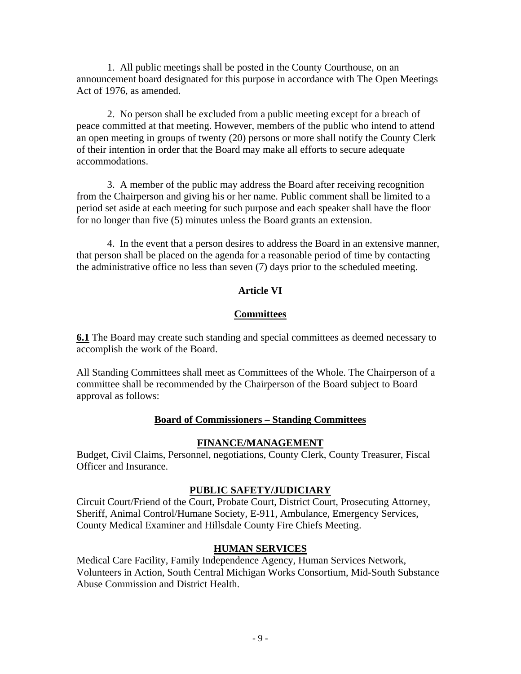1. All public meetings shall be posted in the County Courthouse, on an announcement board designated for this purpose in accordance with The Open Meetings Act of 1976, as amended.

2. No person shall be excluded from a public meeting except for a breach of peace committed at that meeting. However, members of the public who intend to attend an open meeting in groups of twenty (20) persons or more shall notify the County Clerk of their intention in order that the Board may make all efforts to secure adequate accommodations.

3. A member of the public may address the Board after receiving recognition from the Chairperson and giving his or her name. Public comment shall be limited to a period set aside at each meeting for such purpose and each speaker shall have the floor for no longer than five (5) minutes unless the Board grants an extension.

4. In the event that a person desires to address the Board in an extensive manner, that person shall be placed on the agenda for a reasonable period of time by contacting the administrative office no less than seven (7) days prior to the scheduled meeting.

### **Article VI**

### **Committees**

**6.1** The Board may create such standing and special committees as deemed necessary to accomplish the work of the Board.

All Standing Committees shall meet as Committees of the Whole. The Chairperson of a committee shall be recommended by the Chairperson of the Board subject to Board approval as follows:

### **Board of Commissioners – Standing Committees**

### **FINANCE/MANAGEMENT**

Budget, Civil Claims, Personnel, negotiations, County Clerk, County Treasurer, Fiscal Officer and Insurance.

#### **PUBLIC SAFETY/JUDICIARY**

Circuit Court/Friend of the Court, Probate Court, District Court, Prosecuting Attorney, Sheriff, Animal Control/Humane Society, E-911, Ambulance, Emergency Services, County Medical Examiner and Hillsdale County Fire Chiefs Meeting.

### **HUMAN SERVICES**

Medical Care Facility, Family Independence Agency, Human Services Network, Volunteers in Action, South Central Michigan Works Consortium, Mid-South Substance Abuse Commission and District Health.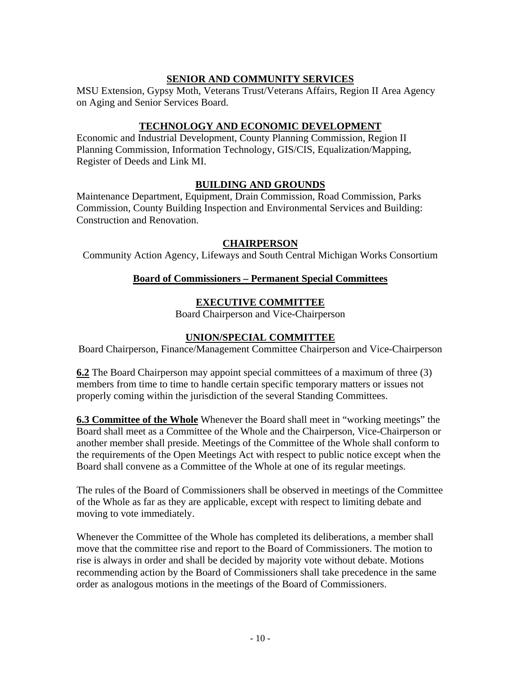## **SENIOR AND COMMUNITY SERVICES**

MSU Extension, Gypsy Moth, Veterans Trust/Veterans Affairs, Region II Area Agency on Aging and Senior Services Board.

### **TECHNOLOGY AND ECONOMIC DEVELOPMENT**

Economic and Industrial Development, County Planning Commission, Region II Planning Commission, Information Technology, GIS/CIS, Equalization/Mapping, Register of Deeds and Link MI.

### **BUILDING AND GROUNDS**

Maintenance Department, Equipment, Drain Commission, Road Commission, Parks Commission, County Building Inspection and Environmental Services and Building: Construction and Renovation.

### **CHAIRPERSON**

Community Action Agency, Lifeways and South Central Michigan Works Consortium

### **Board of Commissioners – Permanent Special Committees**

### **EXECUTIVE COMMITTEE**

Board Chairperson and Vice-Chairperson

### **UNION/SPECIAL COMMITTEE**

Board Chairperson, Finance/Management Committee Chairperson and Vice-Chairperson

**6.2** The Board Chairperson may appoint special committees of a maximum of three (3) members from time to time to handle certain specific temporary matters or issues not properly coming within the jurisdiction of the several Standing Committees.

**6.3 Committee of the Whole** Whenever the Board shall meet in "working meetings" the Board shall meet as a Committee of the Whole and the Chairperson, Vice-Chairperson or another member shall preside. Meetings of the Committee of the Whole shall conform to the requirements of the Open Meetings Act with respect to public notice except when the Board shall convene as a Committee of the Whole at one of its regular meetings.

The rules of the Board of Commissioners shall be observed in meetings of the Committee of the Whole as far as they are applicable, except with respect to limiting debate and moving to vote immediately.

Whenever the Committee of the Whole has completed its deliberations, a member shall move that the committee rise and report to the Board of Commissioners. The motion to rise is always in order and shall be decided by majority vote without debate. Motions recommending action by the Board of Commissioners shall take precedence in the same order as analogous motions in the meetings of the Board of Commissioners.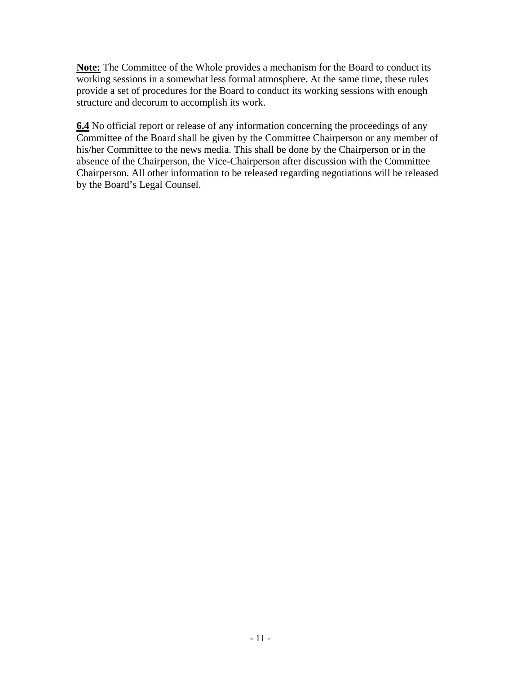**Note:** The Committee of the Whole provides a mechanism for the Board to conduct its working sessions in a somewhat less formal atmosphere. At the same time, these rules provide a set of procedures for the Board to conduct its working sessions with enough structure and decorum to accomplish its work.

**6.4** No official report or release of any information concerning the proceedings of any Committee of the Board shall be given by the Committee Chairperson or any member of his/her Committee to the news media. This shall be done by the Chairperson or in the absence of the Chairperson, the Vice-Chairperson after discussion with the Committee Chairperson. All other information to be released regarding negotiations will be released by the Board's Legal Counsel.